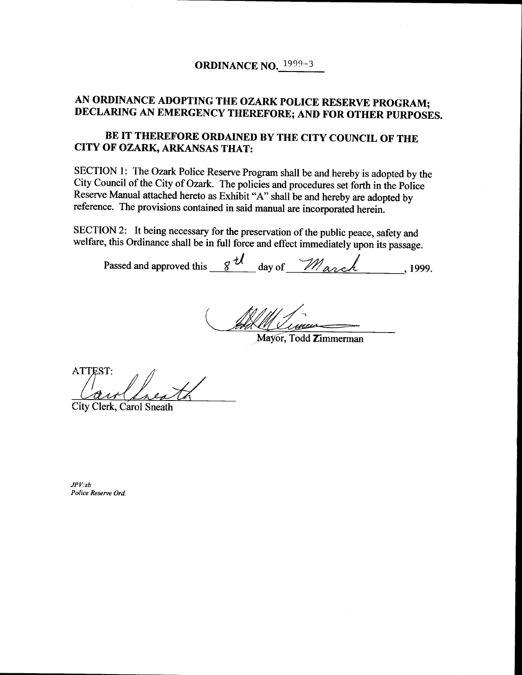## AN ORDINANCE ADOPTING THE OZARK POLICE RESERVE PROGRAM; DECLARING AN EMERGENCY THEREFORE; AND FOR OTHER PURPOSES.

## BE IT THEREFORE ORDAINED BY THE CITY COUNCIL OF THE CITY OF OZARK, ARKANSAS THAT:

SECTION 1: The Ozark Police Reserve Program shall be and hereby is adopted by the City Council of the City of Ozark. The policies and procedures set forth in the Police Reserve Manual attached hereto as Exhibit "A" shall be and hereby are adopted by reference. The provisions contained in said manual are incorporated herein.

SECTION 2: It being necessary for the preservation of the public peace, safety and welfare, this Ordinance shall be in full force and effect immediately upon its passage.

Passed and approved this  $\frac{g \, t}{\omega}$  day of  $\frac{m}{\omega}$ , 1999.

<u> 1 Junior </u>

Mayor, Todd Zimmerman

**ATTEST:** 

City Clerk, Carol Sneath

 $JPV:sb$ Police Reserve Ord.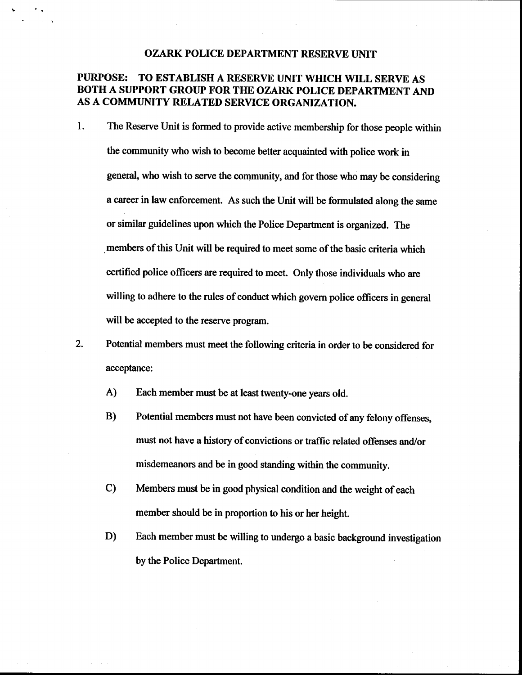## OZARK POLICE DEPARTMENT RESERVE UNIT

## PURPOSE: TO ESTABLISH A RESERVE UNIT WHICH WILL SERVE AS BOTH A SUPPORT GROUP FOR THE OZARK POLICE DEPARTMENT AND AS A COMMUNITY RELATED SERVICE ORGANIZATION.

- 1. The Reserve Unit is formed to provide active membership for those people within the community who wish to become better acquainted with police work in general, who wish to serve the community, and for those who may be considering a career in law enforcement. As such the Unit will be formulated along the same or similar guidelines upon which the Police Department is organized. The members of this Unit will be required to meet some of the basic criteria which certified police officers are required to meet. Only those individuals who are willing to adhere to the rules of conduct which govern police officers in general will be accepted to the reserve program.
- 2. Potential members must meet the following criteria in order to be considered for acceptance:
	- A) Each member must be at least twenty-one years old.
	- B) Potential members must not have been convicted of any felony offenses, must not have <sup>a</sup> history of convictions or traffic related offenses and/or misdemeanors and be in good standing within the community.
	- C) Members must be in good physical condition and the weight of each member should be in proportion to his or her height.
	- D) Each member must be willing to undergo <sup>a</sup> basic background investigation by the Police Department.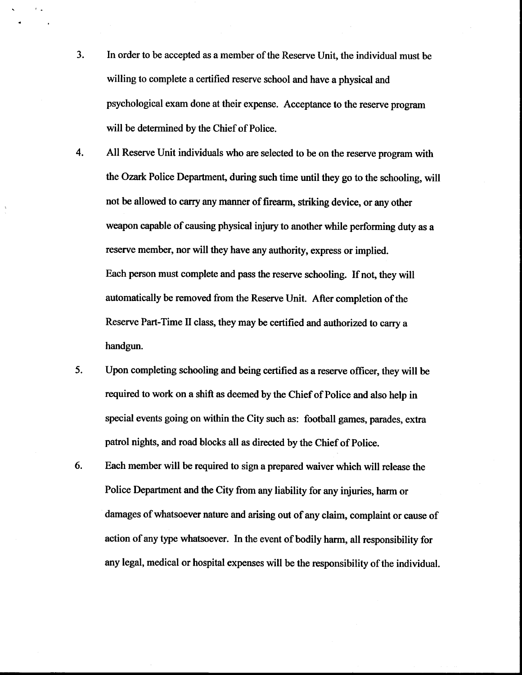3. In order to be accepted as a member of the Reserve Unit, the individual must be willing to complete a certified reserve school and have a physical and psychological exam done at their expense. Acceptance to the reserve program will be determined by the Chief of Police.

 $\tau_{\rm{max}}$ 

4. All Reserve Unit individuals who are selected to be on the reserve program with the Ozark Police Department, during such time until they go to the schooling, will not be allowed to carry any manner of firearm, striking device, or any other weapon capable of causing physical injury to another while performing duty as <sup>a</sup> reserve member, nor will they have any authority, express or implied. Each person must complete and pass the reserve schooling. If not, they will automatically be removed from the Reserve Unit. After completion of the Reserve Part-Time II class, they may be certified and authorized to carry a handgun.

- 5. Upon completing schooling and being certified as <sup>a</sup> reserve officer, they will be required to work on a shift as deemed by the Chief of Police and also help in special events going on within the City such as: football games, parades, extra patrol nights, and road blocks all as directed by the Chief of Police.
- 6. Each member will be required to sign a prepared waiver which will release the Police Department and the City from any liability for any injuries, harm or damages of whatsoever nature and arising out of any claim, complaint or cause of action of any type whatsoever. In the event of bodily harm, all responsibility for any legal, medical or hospital expenses will be the responsibility of the individual.